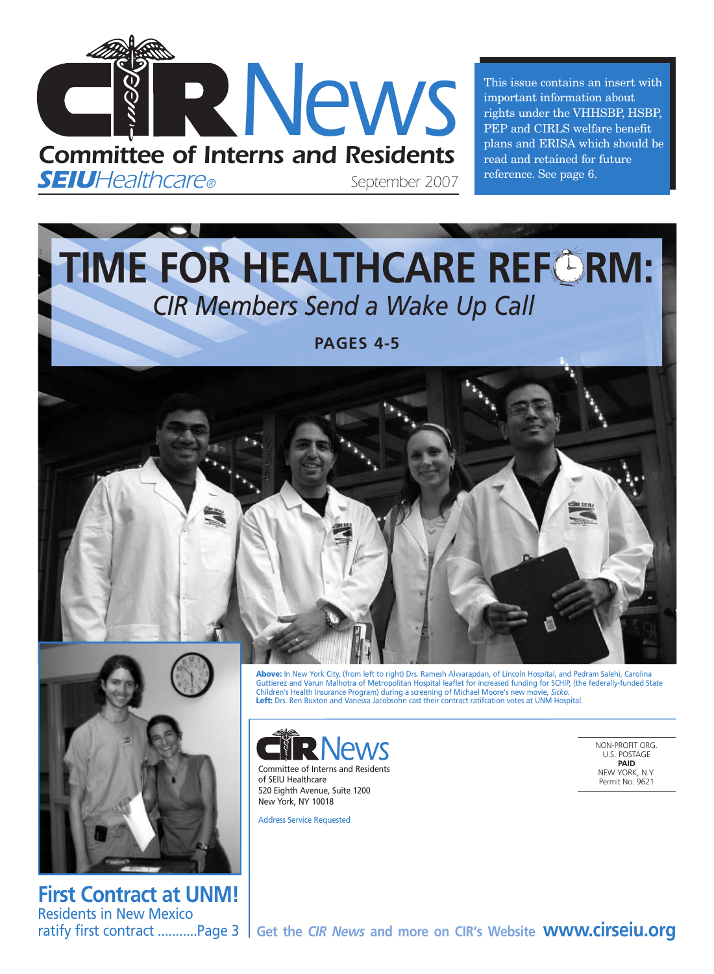

This issue contains an insert with important information about rights under the VHHSBP, HSBP, PEP and CIRLS welfare benefit plans and ERISA which should be read and retained for future reference. See page 6.

**TIME FOR HEALTHCARE REFORM:** *CIR Members Send a Wake Up Call*

**PAGES 4-5**





**First Contract at UNM!** Residents in New Mexico

**Above:** In New York City, (from left to right) Drs. Ramesh Alwarapdan, of Lincoln Hospital, and Pedram Salehi, Carolina Guttierez and Varun Malhotra of Metropolitan Hospital leaflet for increased funding for SCHIP, (the federally-funded State Children's Health Insurance Program) during a screening of Michael Moore's new movie, *Sicko.*  **Left:** Drs. Ben Buxton and Vanessa Jacobsohn cast their contract ratifcation votes at UNM Hospital.



Committee of Interns and Residents of SEIU Healthcare 520 Eighth Avenue, Suite 1200 New York, NY 10018

Address Service Requested

NON-PROFIT ORG. U.S. POSTAGE **PAID** NEW YORK, N.Y. Permit No. 9621

ratify first contract ...........Page 3 S Get the *CIR News* and more on CIR's Website WWW.CITSEIU.OTG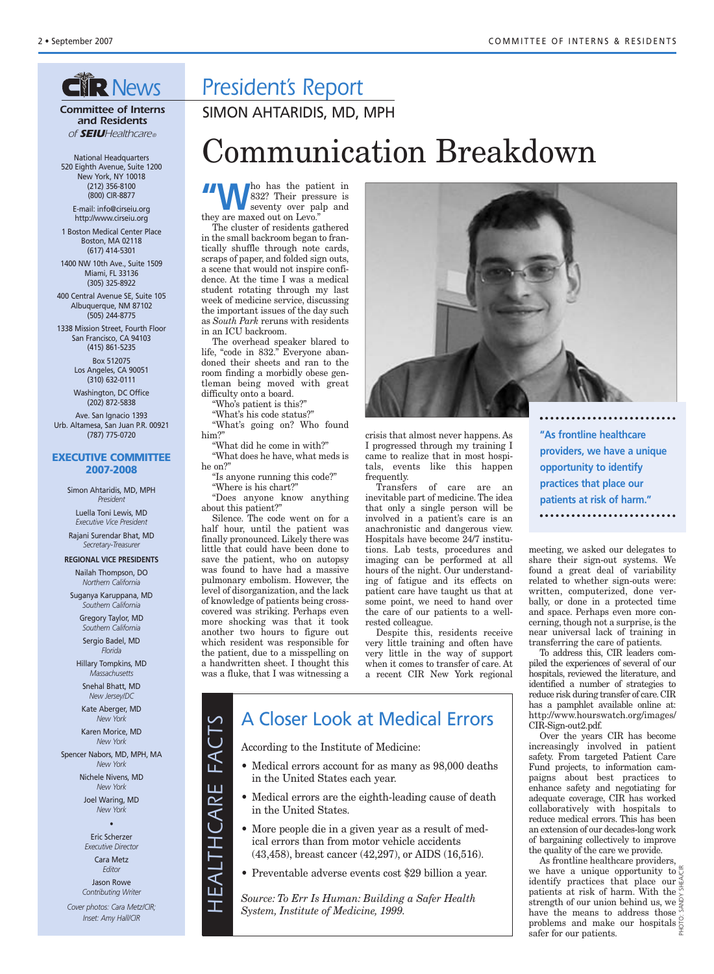## **GIR News**

*Committee of Interns and Residents of SEIUHealthcare®*

National Headquarters 520 Eighth Avenue, Suite 1200 New York, NY 10018 (212) 356-8100 (800) CIR-8877 E-mail: info@cirseiu.org

http://www.cirseiu.org

1 Boston Medical Center Place Boston, MA 02118 (617) 414-5301

1400 NW 10th Ave., Suite 1509 Miami, FL 33136 (305) 325-8922

400 Central Avenue SE, Suite 105 Albuquerque, NM 87102 (505) 244-8775

1338 Mission Street, Fourth Floor San Francisco, CA 94103 (415) 861-5235

> Box 512075 Los Angeles, CA 90051 (310) 632-0111

Washington, DC Office (202) 872-5838

Ave. San Ignacio 1393 Urb. Altamesa, San Juan P.R. 00921 (787) 775-0720

#### **EXECUTIVE COMMITTEE 2007-2008**

Simon Ahtaridis, MD, MPH *President*

Luella Toni Lewis, MD *Executive Vice President*

Rajani Surendar Bhat, MD *Secretary-Treasurer*

**REGIONAL VICE PRESIDENTS** Nailah Thompson, DO

*Northern California*

Suganya Karuppana, MD *Southern California*

> Gregory Taylor, MD *Southern California*

Sergio Badel, MD *Florida*

Hillary Tompkins, MD *Massachusetts*

Snehal Bhatt, MD *New Jersey/DC*

Kate Aberger, MD *New York*

Karen Morice, MD *New York*

Spencer Nabors, MD, MPH, MA *New York*

> Nichele Nivens, MD *New York*

Joel Waring, MD *New York* •

Eric Scherzer *Executive Director* Cara Metz *Editor* Jason Rowe

*Contributing Writer Cover photos: Cara Metz/CIR; Inset: Amy Hall/CIR*

*President's Report*

SIMON AHTARIDIS, MD, MPH

# Communication Breakdown

**WA** has the patient in<br>832? Their pressure is<br>seventy over palp and 832? Their pressure is seventy over palp and they are maxed out on Levo."

The cluster of residents gathered in the small backroom began to frantically shuffle through note cards, scraps of paper, and folded sign outs, a scene that would not inspire confidence. At the time I was a medical student rotating through my last week of medicine service, discussing the important issues of the day such as *South Park* reruns with residents in an ICU backroom.

The overhead speaker blared to life, "code in 832." Everyone abandoned their sheets and ran to the room finding a morbidly obese gentleman being moved with great difficulty onto a board.

"Who's patient is this?"

"What's his code status?"

"What's going on? Who found him?"

"What did he come in with?" "What does he have, what meds is he on?"

"Is anyone running this code?" "Where is his chart?"

"Does anyone know anything about this patient?"

Silence. The code went on for a half hour, until the patient was finally pronounced. Likely there was little that could have been done to save the patient, who on autopsy was found to have had a massive pulmonary embolism. However, the level of disorganization, and the lack of knowledge of patients being crosscovered was striking. Perhaps even more shocking was that it took another two hours to figure out which resident was responsible for the patient, due to a misspelling on a handwritten sheet. I thought this was a fluke, that I was witnessing a

crisis that almost never happens. As I progressed through my training I came to realize that in most hospitals, events like this happen frequently.

Transfers of care are an inevitable part of medicine. The idea that only a single person will be involved in a patient's care is an anachronistic and dangerous view. Hospitals have become 24/7 institutions. Lab tests, procedures and imaging can be performed at all hours of the night. Our understanding of fatigue and its effects on patient care have taught us that at some point, we need to hand over the care of our patients to a wellrested colleague.

Despite this, residents receive very little training and often have very little in the way of support when it comes to transfer of care. At a recent CIR New York regional

### A Closer Look at Medical Errors

According to the Institute of Medicine:

- Medical errors account for as many as 98,000 deaths in the United States each year.
- Medical errors are the eighth-leading cause of death in the United States.
- More people die in a given year as a result of medical errors than from motor vehicle accidents (43,458), breast cancer (42,297), or AIDS (16,516).
- Preventable adverse events cost \$29 billion a year.

*Source: To Err Is Human: Building a Safer Health <sup>H</sup>System, Institute of Medicine, 1999.*

**"As frontline healthcare providers, we have a unique opportunity to identify practices that place our patients at risk of harm."**

meeting, we asked our delegates to share their sign-out systems. We found a great deal of variability related to whether sign-outs were: written, computerized, done verbally, or done in a protected time and space. Perhaps even more concerning, though not a surprise, is the near universal lack of training in transferring the care of patients.

To address this, CIR leaders compiled the experiences of several of our hospitals, reviewed the literature, and identified a number of strategies to reduce risk during transfer of care.CIR has a pamphlet available online at: http://www.hourswatch.org/images/ CIR-Sign-out2.pdf.

Over the years CIR has become increasingly involved in patient safety. From targeted Patient Care Fund projects, to information campaigns about best practices to enhance safety and negotiating for adequate coverage, CIR has worked collaboratively with hospitals to reduce medical errors. This has been an extension of our decades-long work of bargaining collectively to improve the quality of the care we provide.

As frontline healthcare providers, we have a unique opportunity to  $\frac{\alpha}{\zeta}$ identify practices that place our  $\frac{3}{2}$ <br>nationts at risk of harm With the patients at risk of harm. With the strength of our union behind us, we  $\frac{2}{5}$ have the means to address those  $\frac{3}{2}$ problems and make our hospitals  $\frac{8}{6}$ safer for our patients. PHOTO: SANDY SHEA/CIR



*E A L*  $\vdash$ *H C A RE*

*FA C*  $\vdash$ *S*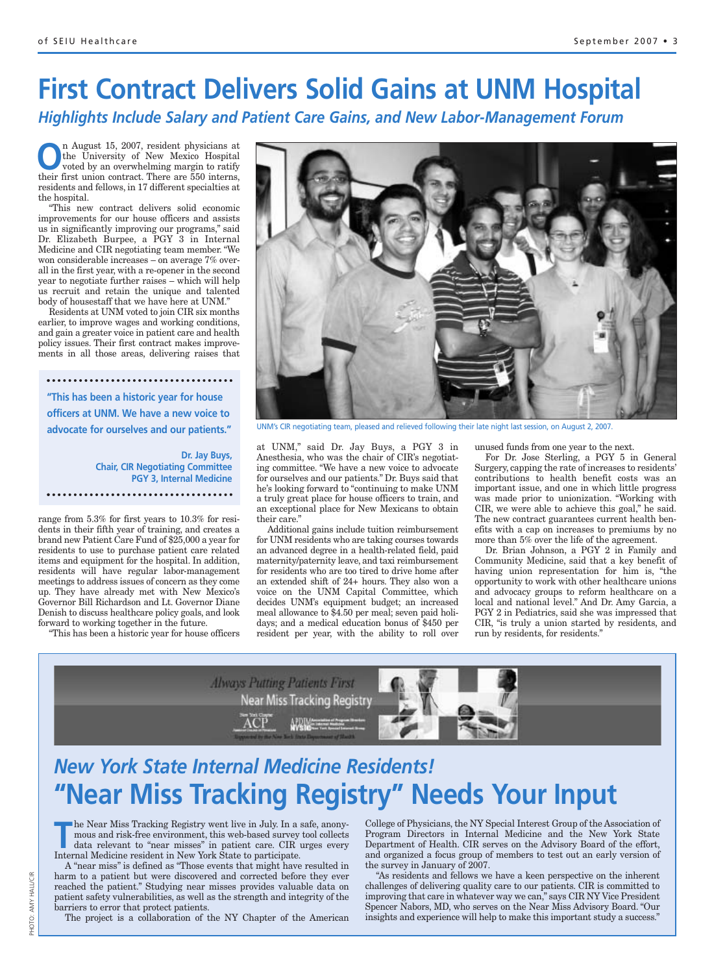# **First Contract Delivers Solid Gains at UNM Hospital**

*Highlights Include Salary and Patient Care Gains, and New Labor-Management Forum*

**O**n August 15, 2007, resident physicians at<br>the University of New Mexico Hospital<br>voted by an overwhelming margin to ratify<br>their first union contract. There are 550 interms the University of New Mexico Hospital voted by an overwhelming margin to ratify their first union contract. There are 550 interns, residents and fellows, in 17 different specialties at the hospital.

"This new contract delivers solid economic improvements for our house officers and assists us in significantly improving our programs," said Dr. Elizabeth Burpee, a PGY 3 in Internal Medicine and CIR negotiating team member. "We won considerable increases – on average 7% overall in the first year, with a re-opener in the second year to negotiate further raises – which will help us recruit and retain the unique and talented body of housestaff that we have here at UNM."

Residents at UNM voted to join CIR six months earlier, to improve wages and working conditions, and gain a greater voice in patient care and health policy issues. Their first contract makes improvements in all those areas, delivering raises that

**"This has been a historic year for house officers at UNM. We have a new voice to advocate for ourselves and our patients."**

> **Dr. Jay Buys, Chair, CIR Negotiating Committee PGY 3, Internal Medicine**

range from 5.3% for first years to 10.3% for residents in their fifth year of training, and creates a brand new Patient Care Fund of \$25,000 a year for residents to use to purchase patient care related items and equipment for the hospital. In addition, residents will have regular labor-management meetings to address issues of concern as they come up. They have already met with New Mexico's Governor Bill Richardson and Lt. Governor Diane Denish to discuss healthcare policy goals, and look forward to working together in the future.

"This has been a historic year for house officers



UNM's CIR negotiating team, pleased and relieved following their late night last session, on August 2, 2007.

at UNM," said Dr. Jay Buys, a PGY 3 in Anesthesia, who was the chair of CIR's negotiating committee. "We have a new voice to advocate for ourselves and our patients." Dr. Buys said that he's looking forward to "continuing to make UNM a truly great place for house officers to train, and an exceptional place for New Mexicans to obtain their care."

Additional gains include tuition reimbursement for UNM residents who are taking courses towards an advanced degree in a health-related field, paid maternity/paternity leave, and taxi reimbursement for residents who are too tired to drive home after an extended shift of 24+ hours. They also won a voice on the UNM Capital Committee, which decides UNM's equipment budget; an increased meal allowance to \$4.50 per meal; seven paid holidays; and a medical education bonus of \$450 per resident per year, with the ability to roll over

unused funds from one year to the next.

For Dr. Jose Sterling, a PGY 5 in General Surgery, capping the rate of increases to residents' contributions to health benefit costs was an important issue, and one in which little progress was made prior to unionization. "Working with CIR, we were able to achieve this goal," he said. The new contract guarantees current health benefits with a cap on increases to premiums by no more than 5% over the life of the agreement.

Dr. Brian Johnson, a PGY 2 in Family and Community Medicine, said that a key benefit of having union representation for him is, "the opportunity to work with other healthcare unions and advocacy groups to reform healthcare on a local and national level." And Dr. Amy Garcia, a PGY 2 in Pediatrics, said she was impressed that CIR, "is truly a union started by residents, and run by residents, for residents."



## *New York State Internal Medicine Residents!* **"Near Miss Tracking Registry" Needs Your Input**

The Near Miss Tracking Registry went live in July. In a safe, anony-<br>
mous and risk-free environment, this web-based survey tool collects<br>
data relevant to "near misses" in patient care. CIR urges every<br>
Internal Medicine mous and risk-free environment, this web-based survey tool collects Internal Medicine resident in New York State to participate.

A "near miss" is defined as "Those events that might have resulted in harm to a patient but were discovered and corrected before they ever reached the patient." Studying near misses provides valuable data on patient safety vulnerabilities, as well as the strength and integrity of the barriers to error that protect patients.

The project is a collaboration of the NY Chapter of the American

College of Physicians, the NY Special Interest Group of the Association of Program Directors in Internal Medicine and the New York State Department of Health. CIR serves on the Advisory Board of the effort, and organized a focus group of members to test out an early version of the survey in January of 2007.

"As residents and fellows we have a keen perspective on the inherent challenges of delivering quality care to our patients. CIR is committed to improving that care in whatever way we can," says CIR NY Vice President Spencer Nabors, MD, who serves on the Near Miss Advisory Board. "Our insights and experience will help to make this important study a success."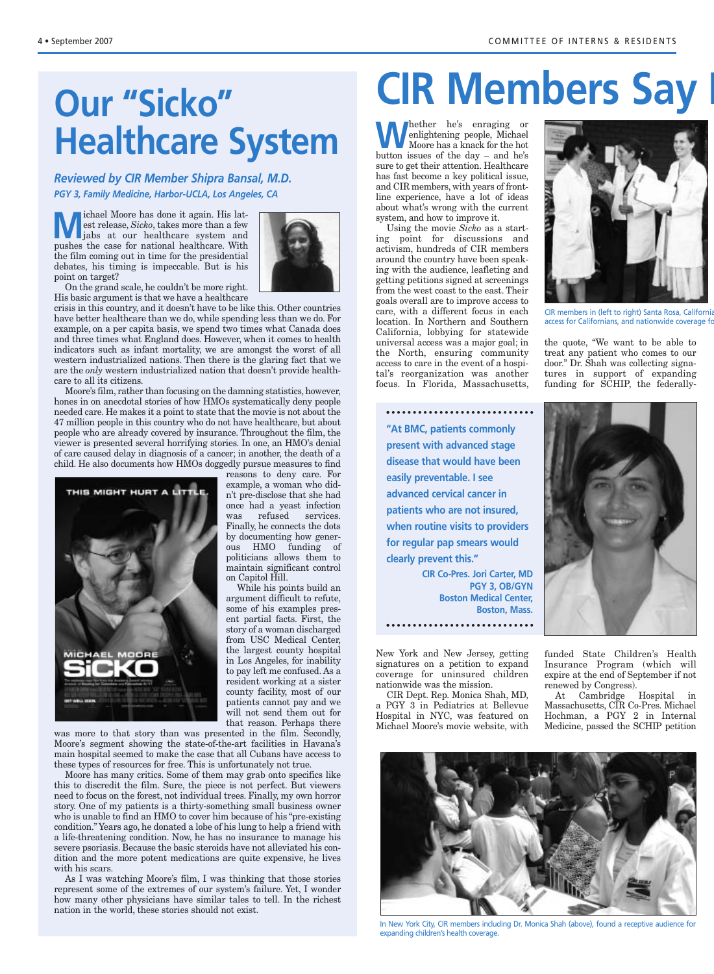# **Our "Sicko" Healthcare System**

*Reviewed by CIR Member Shipra Bansal, M.D. PGY 3, Family Medicine, Harbor-UCLA, Los Angeles, CA*

**M** ichael Moore has done it again. His lattest release, *Sicko*, takes more than a few jabs at our healthcare system and est release, *Sicko*, takes more than a few pushes the case for national healthcare. With the film coming out in time for the presidential debates, his timing is impeccable. But is his point on target?



On the grand scale, he couldn't be more right. His basic argument is that we have a healthcare

crisis in this country, and it doesn't have to be like this. Other countries have better healthcare than we do, while spending less than we do. For example, on a per capita basis, we spend two times what Canada does and three times what England does. However, when it comes to health indicators such as infant mortality, we are amongst the worst of all western industrialized nations. Then there is the glaring fact that we are the *only* western industrialized nation that doesn't provide healthcare to all its citizens.

Moore's film, rather than focusing on the damning statistics, however, hones in on anecdotal stories of how HMOs systematically deny people needed care. He makes it a point to state that the movie is not about the 47 million people in this country who do not have healthcare, but about people who are already covered by insurance. Throughout the film, the viewer is presented several horrifying stories. In one, an HMO's denial of care caused delay in diagnosis of a cancer; in another, the death of a child. He also documents how HMOs doggedly pursue measures to find



reasons to deny care. For example, a woman who didn't pre-disclose that she had once had a yeast infection was refused services. Finally, he connects the dots by documenting how generous HMO funding of politicians allows them to maintain significant control on Capitol Hill.

While his points build an argument difficult to refute, some of his examples present partial facts. First, the story of a woman discharged from USC Medical Center, the largest county hospital in Los Angeles, for inability to pay left me confused. As a resident working at a sister county facility, most of our patients cannot pay and we will not send them out for that reason. Perhaps there

was more to that story than was presented in the film. Secondly, Moore's segment showing the state-of-the-art facilities in Havana's main hospital seemed to make the case that all Cubans have access to these types of resources for free. This is unfortunately not true.

Moore has many critics. Some of them may grab onto specifics like this to discredit the film. Sure, the piece is not perfect. But viewers need to focus on the forest, not individual trees. Finally, my own horror story. One of my patients is a thirty-something small business owner who is unable to find an HMO to cover him because of his "pre-existing condition." Years ago, he donated a lobe of his lung to help a friend with a life-threatening condition. Now, he has no insurance to manage his severe psoriasis. Because the basic steroids have not alleviated his condition and the more potent medications are quite expensive, he lives with his scars.

As I was watching Moore's film, I was thinking that those stories represent some of the extremes of our system's failure. Yet, I wonder how many other physicians have similar tales to tell. In the richest nation in the world, these stories should not exist.

# **CIR Members Say I**

**W**hether he's enraging or enlightening people, Michael Moore has a knack for the hot button issues of the day – and he's sure to get their attention. Healthcare has fast become a key political issue, and CIR members, with years of frontline experience, have a lot of ideas about what's wrong with the current system, and how to improve it.

Using the movie *Sicko* as a starting point for discussions and activism, hundreds of CIR members around the country have been speaking with the audience, leafleting and getting petitions signed at screenings from the west coast to the east. Their goals overall are to improve access to care, with a different focus in each location. In Northern and Southern California, lobbying for statewide universal access was a major goal; in the North, ensuring community access to care in the event of a hospital's reorganization was another focus. In Florida, Massachusetts,



CIR members in (left to right) Santa Rosa, California access for Californians, and nationwide coverage for

the quote, "We want to be able to treat any patient who comes to our door." Dr. Shah was collecting signatures in support of expanding funding for SCHIP, the federally-



**CIR Co-Pres. Jori Carter, MD PGY 3, OB/GYN Boston Medical Center, Boston, Mass.**

New York and New Jersey, getting signatures on a petition to expand coverage for uninsured children nationwide was the mission.

CIR Dept. Rep. Monica Shah, MD, a PGY 3 in Pediatrics at Bellevue Hospital in NYC, was featured on Michael Moore's movie website, with



funded State Children's Health Insurance Program (which will expire at the end of September if not renewed by Congress).

At Cambridge Hospital in Massachusetts, CIR Co-Pres. Michael Hochman, a PGY 2 in Internal Medicine, passed the SCHIP petition



In New York City, CIR members including Dr. Monica Shah (above), found a receptive audience for expanding children's health coverage.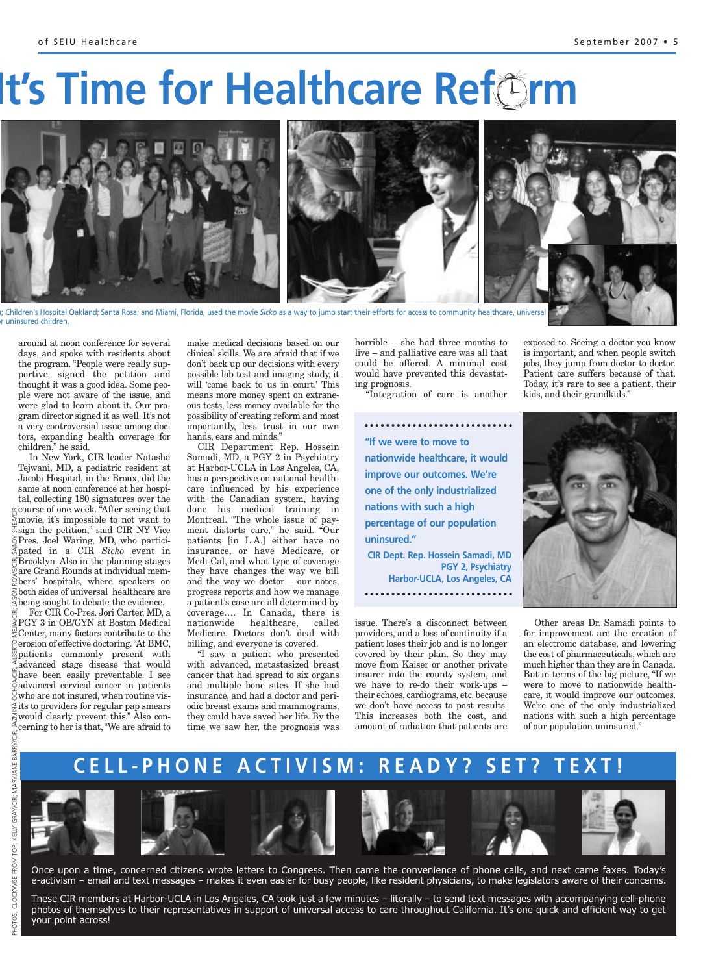# **It's Time for Healthcare Ref**orm



a; Children's Hospital Oakland; Santa Rosa; and Miami, Florida, used the movie *Sicko* as a way to jump start their efforts for access to community healthcare, universal uninsured children.

around at noon conference for several days, and spoke with residents about the program. "People were really supportive, signed the petition and thought it was a good idea. Some people were not aware of the issue, and were glad to learn about it. Our program director signed it as well. It's not a very controversial issue among doctors, expanding health coverage for children," he said.

In New York, CIR leader Natasha Tejwani, MD, a pediatric resident at Jacobi Hospital, in the Bronx, did the same at noon conference at her hospital, collecting 180 signatures over the  $\leq$  course of one week. "After seeing that movie, it's impossible to not want to  $\overline{\overline{z}}$  sign the petition," said CIR NY Vice Pres. Joel Waring, MD, who participated in a CIR *Sicko* event in  $\mathbb{E}$ Brooklyn. Also in the planning stages are Grand Rounds at individual mem- $\widetilde{Q}$  bers' hospitals, where speakers on  $\leq$  both sides of universal healthcare are  $\leq$  being sought to debate the evidence.

For CIR Co-Pres. Jori Carter, MD, a PGY 3 in OB/GYN at Boston Medical  $\Xi$  Center, many factors contribute to the  $\frac{\odot}{\varepsilon}$  erosion of effective doctoring. "At BMC, patients commonly present with advanced stage disease that would have been easily preventable. I see advanced cervical cancer in patients  $\overline{\Theta}$  who are not insured, when routine vis- $\frac{1}{2}$ its to providers for regular pap smears  $\geq$  would clearly prevent this." Also concerning to her is that,"We are afraid to

PHOTOS,

make medical decisions based on our clinical skills. We are afraid that if we don't back up our decisions with every possible lab test and imaging study, it will 'come back to us in court.' This means more money spent on extraneous tests, less money available for the possibility of creating reform and most importantly, less trust in our own hands, ears and minds."

CIR Department Rep. Hossein Samadi, MD, a PGY 2 in Psychiatry at Harbor-UCLA in Los Angeles, CA, has a perspective on national healthcare influenced by his experience with the Canadian system, having done his medical training in Montreal. "The whole issue of payment distorts care," he said. "Our patients [in L.A.] either have no insurance, or have Medicare, or Medi-Cal, and what type of coverage they have changes the way we bill and the way we doctor – our notes, progress reports and how we manage a patient's case are all determined by coverage…. In Canada, there is healthcare, called Medicare. Doctors don't deal with billing, and everyone is covered.

"I saw a patient who presented with advanced, metastasized breast cancer that had spread to six organs and multiple bone sites. If she had insurance, and had a doctor and periodic breast exams and mammograms, they could have saved her life. By the time we saw her, the prognosis was horrible – she had three months to live – and palliative care was all that could be offered. A minimal cost would have prevented this devastating prognosis.

"Integration of care is another

**"If we were to move to nationwide healthcare, it would improve our outcomes. We're one of the only industrialized nations with such a high percentage of our population uninsured." CIR Dept. Rep. Hossein Samadi, MD PGY 2, Psychiatry Harbor-UCLA, Los Angeles, CA** 

issue. There's a disconnect between providers, and a loss of continuity if a patient loses their job and is no longer covered by their plan. So they may move from Kaiser or another private insurer into the county system, and we have to re-do their work-ups – their echoes, cardiograms, etc. because we don't have access to past results. This increases both the cost, and amount of radiation that patients are exposed to. Seeing a doctor you know is important, and when people switch jobs, they jump from doctor to doctor. Patient care suffers because of that. Today, it's rare to see a patient, their kids, and their grandkids."



Other areas Dr. Samadi points to for improvement are the creation of an electronic database, and lowering the cost of pharmaceuticals, which are much higher than they are in Canada. But in terms of the big picture, "If we were to move to nationwide healthcare, it would improve our outcomes. We're one of the only industrialized nations with such a high percentage of our population uninsured."

## **CELL-PHONE ACTIVISM: READY? SET? TEXT!**





Once upon a time, concerned citizens wrote letters to Congress. Then came the convenience of phone calls, and next came faxes. Today's e-activism – email and text messages – makes it even easier for busy people, like resident physicians, to make legislators aware of their concerns.

These CIR members at Harbor-UCLA in Los Angeles, CA took just a few minutes – literally – to send text messages with accompanying cell-phone photos of themselves to their representatives in support of universal access to care throughout California. It's one quick and efficient way to get your point across!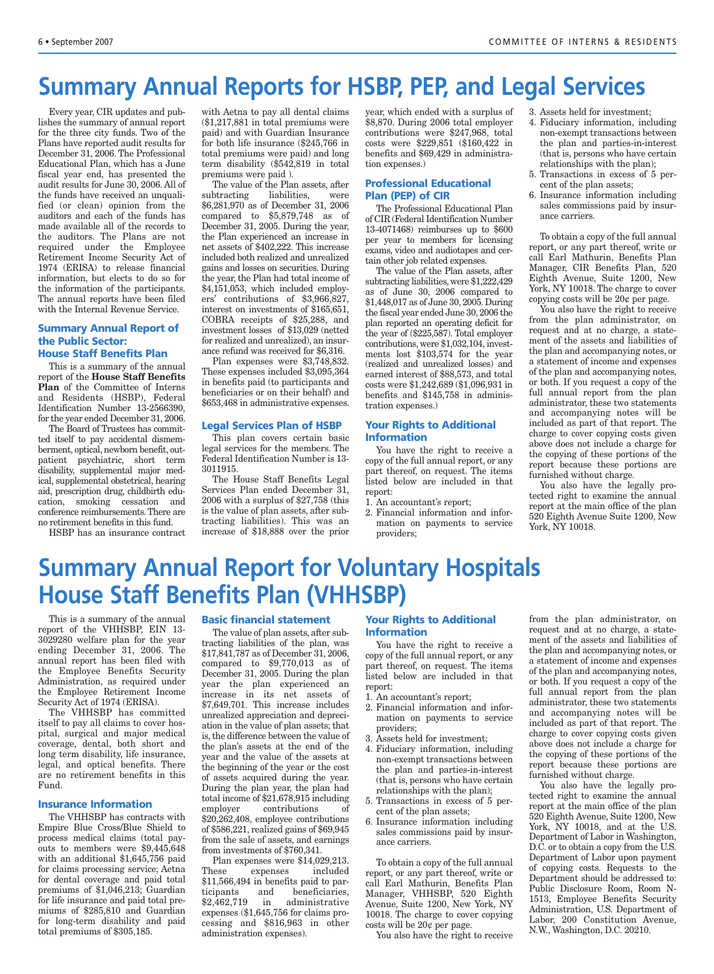## **Summary Annual Reports for HSBP, PEP, and Legal Services**

Every year, CIR updates and publishes the summary of annual report for the three city funds. Two of the Plans have reported audit results for December 31, 2006. The Professional Educational Plan, which has a June fiscal year end, has presented the audit results for June 30, 2006. All of the funds have received an unqualified (or clean) opinion from the auditors and each of the funds has made available all of the records to the auditors. The Plans are not required under the Employee Retirement Income Security Act of 1974 (ERISA) to release financial information, but elects to do so for the information of the participants. The annual reports have been filed with the Internal Revenue Service.

#### **Summary Annual Report of the Public Sector: House Staff Benefits Plan**

This is a summary of the annual report of the **House Staff Benefits Plan** of the Committee of Interns and Residents (HSBP), Federal Identification Number 13-2566390, for the year ended December 31, 2006.

The Board of Trustees has committed itself to pay accidental dismemberment, optical, newborn benefit, outpatient psychiatric, short term disability, supplemental major medical, supplemental obstetrical, hearing aid, prescription drug, childbirth education, smoking cessation and conference reimbursements. There are no retirement benefits in this fund.

HSBP has an insurance contract

with Aetna to pay all dental claims (\$1,217,881 in total premiums were paid) and with Guardian Insurance for both life insurance (\$245,766 in total premiums were paid) and long term disability (\$542,819 in total premiums were paid ).

The value of the Plan assets, after subtracting liabilities, were \$6,281,970 as of December 31, 2006 compared to \$5,879,748 as of December 31, 2005. During the year, the Plan experienced an increase in net assets of \$402,222. This increase included both realized and unrealized gains and losses on securities. During the year, the Plan had total income of \$4,151,053, which included employers' contributions of \$3,966,827, interest on investments of \$165,651, COBRA receipts of \$25,288, and investment losses of \$13,029 (netted for realized and unrealized), an insurance refund was received for \$6,316.

Plan expenses were \$3,748,832. These expenses included \$3,095,364 in benefits paid (to participants and beneficiaries or on their behalf) and \$653,468 in administrative expenses.

#### **Legal Services Plan of HSBP**

This plan covers certain basic legal services for the members. The Federal Identification Number is 13- 3011915.

The House Staff Benefits Legal Services Plan ended December 31, 2006 with a surplus of \$27,758 (this is the value of plan assets, after subtracting liabilities). This was an increase of \$18,888 over the prior

year, which ended with a surplus of \$8,870. During 2006 total employer contributions were \$247,968, total costs were \$229,851 (\$160,422 in benefits and \$69,429 in administration expenses.)

#### **Professional Educational Plan (PEP) of CIR**

The Professional Educational Plan of CIR (Federal Identification Number 13-4071468) reimburses up to \$600 per year to members for licensing exams, video and audiotapes and certain other job related expenses.

The value of the Plan assets, after subtracting liabilities, were \$1,222,429 as of June 30, 2006 compared to \$1,448,017 as of June 30, 2005. During the fiscal year ended June 30, 2006 the plan reported an operating deficit for the year of (\$225,587). Total employer contributions, were \$1,032,104, investments lost \$103,574 for the year (realized and unrealized losses) and earned interest of \$88,573, and total costs were \$1,242,689 (\$1,096,931 in benefits and \$145,758 in administration expenses.)

#### **Your Rights to Additional Information**

You have the right to receive a copy of the full annual report, or any part thereof, on request. The items listed below are included in that report:

1. An accountant's report;

2. Financial information and information on payments to service providers;

3. Assets held for investment;

- 4. Fiduciary information, including non-exempt transactions between the plan and parties-in-interest (that is, persons who have certain relationships with the plan);
- 5. Transactions in excess of 5 percent of the plan assets;
- 6. Insurance information including sales commissions paid by insurance carriers.

To obtain a copy of the full annual report, or any part thereof, write or call Earl Mathurin, Benefits Plan Manager, CIR Benefits Plan, 520 Eighth Avenue, Suite 1200, New York, NY 10018. The charge to cover copying costs will be 20¢ per page.

You also have the right to receive from the plan administrator, on request and at no charge, a statement of the assets and liabilities of the plan and accompanying notes, or a statement of income and expenses of the plan and accompanying notes, or both. If you request a copy of the full annual report from the plan administrator, these two statements and accompanying notes will be included as part of that report. The charge to cover copying costs given above does not include a charge for the copying of these portions of the report because these portions are furnished without charge.

You also have the legally protected right to examine the annual report at the main office of the plan 520 Eighth Avenue Suite 1200, New York, NY 10018.

## **Summary Annual Report for Voluntary Hospitals House Staff Benefits Plan (VHHSBP)**

This is a summary of the annual report of the VHHSBP, EIN 13- 3029280 welfare plan for the year ending December 31, 2006. The annual report has been filed with the Employee Benefits Security Administration, as required under the Employee Retirement Income Security Act of 1974 (ERISA).

The VHHSBP has committed itself to pay all claims to cover hospital, surgical and major medical coverage, dental, both short and long term disability, life insurance, legal, and optical benefits. There are no retirement benefits in this Fund.

#### **Insurance Information**

The VHHSBP has contracts with Empire Blue Cross/Blue Shield to process medical claims (total payouts to members were \$9,445,648 with an additional \$1,645,756 paid for claims processing service; Aetna for dental coverage and paid total premiums of \$1,046,213; Guardian for life insurance and paid total premiums of \$285,810 and Guardian for long-term disability and paid total premiums of \$305,185.

#### **Basic financial statement**

The value of plan assets, after subtracting liabilities of the plan, was \$17,841,787 as of December 31, 2006, compared to \$9,770,013 as of December 31, 2005. During the plan year the plan experienced an increase in its net assets of \$7,649,701. This increase includes unrealized appreciation and depreciation in the value of plan assets; that is, the difference between the value of the plan's assets at the end of the year and the value of the assets at the beginning of the year or the cost of assets acquired during the year. During the plan year, the plan had total income of \$21,678,915 including employer contributions of \$20,262,408, employee contributions of \$586,221, realized gains of \$69,945 from the sale of assets, and earnings from investments of \$760,341.

Plan expenses were \$14,029,213. These expenses included \$11,566,494 in benefits paid to participants and beneficiaries, \$2,462,719 in administrative expenses (\$1,645,756 for claims processing and \$816,963 in other administration expenses).

#### **Your Rights to Additional Information**

You have the right to receive a copy of the full annual report, or any part thereof, on request. The items listed below are included in that report:

- 1. An accountant's report;
- 2. Financial information and information on payments to service providers;
- 3. Assets held for investment;
- 4. Fiduciary information, including non-exempt transactions between the plan and parties-in-interest (that is, persons who have certain relationships with the plan);
- 5. Transactions in excess of 5 percent of the plan assets;
- 6. Insurance information including sales commissions paid by insurance carriers.

To obtain a copy of the full annual report, or any part thereof, write or call Earl Mathurin, Benefits Plan Manager, VHHSBP, 520 Eighth Avenue, Suite 1200, New York, NY 10018. The charge to cover copying costs will be 20¢ per page.

You also have the right to receive

from the plan administrator, on request and at no charge, a statement of the assets and liabilities of the plan and accompanying notes, or a statement of income and expenses of the plan and accompanying notes, or both. If you request a copy of the full annual report from the plan administrator, these two statements and accompanying notes will be included as part of that report. The charge to cover copying costs given above does not include a charge for the copying of these portions of the report because these portions are furnished without charge.

You also have the legally protected right to examine the annual report at the main office of the plan 520 Eighth Avenue, Suite 1200, New York, NY 10018, and at the U.S. Department of Labor in Washington, D.C. or to obtain a copy from the U.S. Department of Labor upon payment of copying costs. Requests to the Department should be addressed to: Public Disclosure Room, Room N-1513, Employee Benefits Security Administration, U.S. Department of Labor, 200 Constitution Avenue, N.W., Washington, D.C. 20210.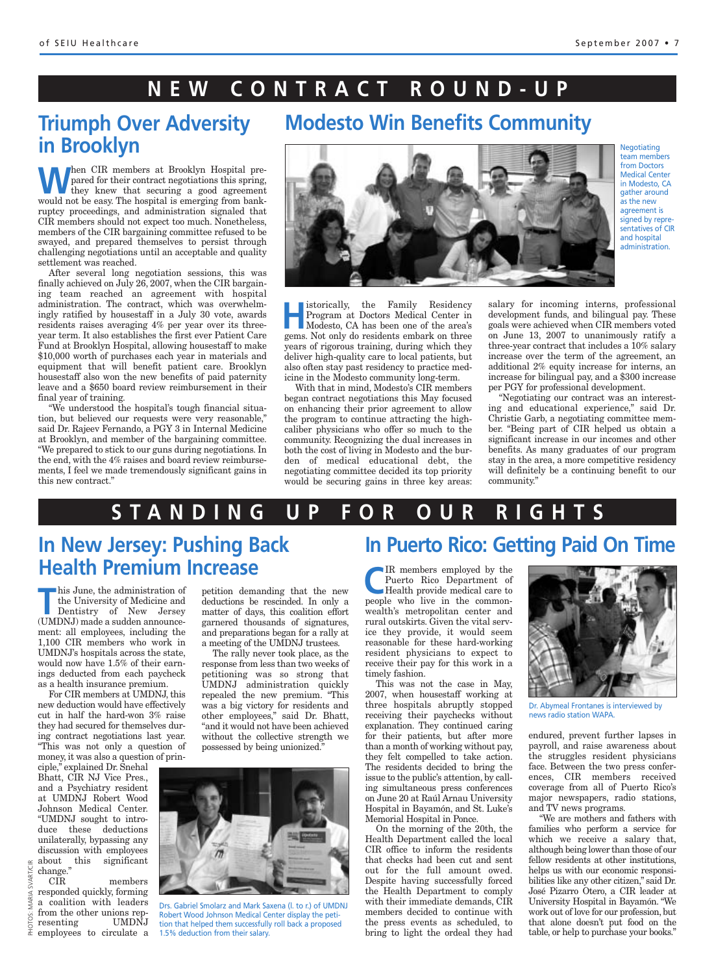## **NEW CONTRACT ROUND-UP**

## **Triumph Over Adversity in Brooklyn**

When CIR members at Brooklyn Hospital pre-<br>they knew that securing a good agreement<br>would not be easy The begated is emerging from bank pared for their contract negotiations this spring, they knew that securing a good agreement would not be easy. The hospital is emerging from bankruptcy proceedings, and administration signaled that CIR members should not expect too much. Nonetheless, members of the CIR bargaining committee refused to be swayed, and prepared themselves to persist through challenging negotiations until an acceptable and quality settlement was reached.

After several long negotiation sessions, this was finally achieved on July 26, 2007, when the CIR bargaining team reached an agreement with hospital administration. The contract, which was overwhelmingly ratified by housestaff in a July 30 vote, awards residents raises averaging 4% per year over its threeyear term. It also establishes the first ever Patient Care Fund at Brooklyn Hospital, allowing housestaff to make \$10,000 worth of purchases each year in materials and equipment that will benefit patient care. Brooklyn housestaff also won the new benefits of paid paternity leave and a \$650 board review reimbursement in their final year of training.

"We understood the hospital's tough financial situation, but believed our requests were very reasonable," said Dr. Rajeev Fernando, a PGY 3 in Internal Medicine at Brooklyn, and member of the bargaining committee. "We prepared to stick to our guns during negotiations. In the end, with the 4% raises and board review reimbursements, I feel we made tremendously significant gains in this new contract."



**Modesto Win Benefits Community**

**Haristorically, the Family Residency** Program at Doctors Medical Center in Modesto, CA has been one of the area's gems. Not only do residents embark on three years of rigorous training, during which they deliver high-quality care to local patients, but also often stay past residency to practice medicine in the Modesto community long-term.

With that in mind, Modesto's CIR members began contract negotiations this May focused on enhancing their prior agreement to allow the program to continue attracting the highcaliber physicians who offer so much to the community. Recognizing the dual increases in both the cost of living in Modesto and the burden of medical educational debt, the negotiating committee decided its top priority would be securing gains in three key areas: salary for incoming interns, professional development funds, and bilingual pay. These goals were achieved when CIR members voted on June 13, 2007 to unanimously ratify a three-year contract that includes a 10% salary increase over the term of the agreement, an additional 2% equity increase for interns, an increase for bilingual pay, and a \$300 increase per PGY for professional development.

"Negotiating our contract was an interesting and educational experience," said Dr. Christie Garb, a negotiating committee member. "Being part of CIR helped us obtain a significant increase in our incomes and other benefits. As many graduates of our program stay in the area, a more competitive residency will definitely be a continuing benefit to our community."

### **STANDING UP FOR OUR RIGHTS**

## **In New Jersey: Pushing Back Health Premium Increase**

the University of Medicine and

his June, the administration of<br>the University of Medicine and<br>Dentistry of New Jersey (UMDNJ) made a sudden announcement: all employees, including the 1,100 CIR members who work in UMDNJ's hospitals across the state, would now have 1.5% of their earnings deducted from each paycheck as a health insurance premium.

For CIR members at UMDNJ, this new deduction would have effectively cut in half the hard-won 3% raise they had secured for themselves during contract negotiations last year. "This was not only a question of money, it was also a question of prin-

ciple," explained Dr. Snehal Bhatt, CIR NJ Vice Pres., and a Psychiatry resident at UMDNJ Robert Wood Johnson Medical Center. "UMDNJ sought to introduce these deductions unilaterally, bypassing any discussion with employees about this significant change."

CIR members responded quickly, forming a coalition with leaders from the other unions representing UMDNJ employees to circulate a PHOTOS:  $\frac{1}{25}$  douting this significant<br>change."<br>  $\frac{1}{25}$  contains the duckly, forming<br>  $\frac{1}{25}$  a coalition with leaders<br>  $\frac{1}{25}$  from the other unions rep-<br>  $\frac{1}{25}$  resenting UMDNJ tion that helped them successfu

petition demanding that the new deductions be rescinded. In only a matter of days, this coalition effort garnered thousands of signatures, and preparations began for a rally at a meeting of the UMDNJ trustees.

The rally never took place, as the response from less than two weeks of petitioning was so strong that UMDNJ administration quickly repealed the new premium. "This was a big victory for residents and other employees," said Dr. Bhatt, "and it would not have been achieved without the collective strength we possessed by being unionized."



Drs. Gabriel Smolarz and Mark Saxena (l. to r.) of UMDNJ Robert Wood Johnson Medical Center display the petition that helped them successfully roll back a proposed<br>1.5% deduction from their salary.

## **In Puerto Rico: Getting Paid On Time**

**C**IR members employed by the<br>
Puerto Rico Department of<br>
Health provide medical care to<br>
needle who live in the common Puerto Rico Department of people who live in the commonwealth's metropolitan center and rural outskirts. Given the vital service they provide, it would seem reasonable for these hard-working resident physicians to expect to receive their pay for this work in a timely fashion.

This was not the case in May, 2007, when housestaff working at three hospitals abruptly stopped receiving their paychecks without explanation. They continued caring for their patients, but after more than a month of working without pay, they felt compelled to take action. The residents decided to bring the issue to the public's attention, by calling simultaneous press conferences on June 20 at Raúl Arnau University Hospital in Bayamón, and St. Luke's Memorial Hospital in Ponce.

On the morning of the 20th, the Health Department called the local CIR office to inform the residents that checks had been cut and sent out for the full amount owed. Despite having successfully forced the Health Department to comply with their immediate demands, CIR members decided to continue with the press events as scheduled, to bring to light the ordeal they had



Dr. Abymeal Frontanes is interviewed by news radio station WAPA.

endured, prevent further lapses in payroll, and raise awareness about the struggles resident physicians face. Between the two press conferences, CIR members received coverage from all of Puerto Rico's major newspapers, radio stations, and TV news programs.

"We are mothers and fathers with families who perform a service for which we receive a salary that, although being lower than those of our fellow residents at other institutions, helps us with our economic responsibilities like any other citizen," said Dr. José Pizarro Otero, a CIR leader at University Hospital in Bayamón. "We work out of love for our profession, but that alone doesn't put food on the table, or help to purchase your books."